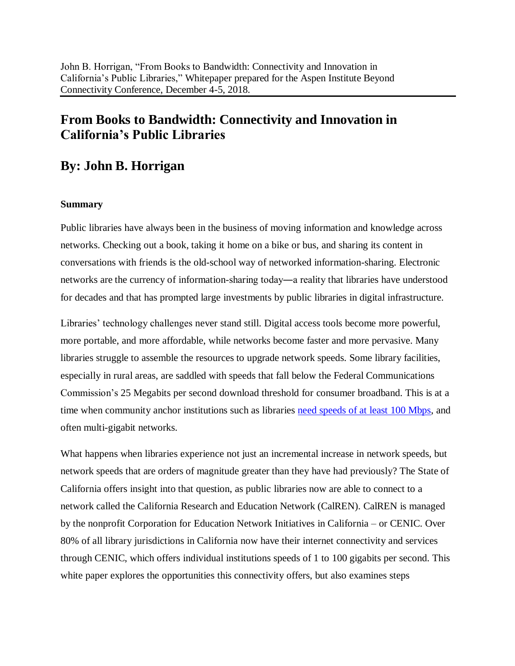# **From Books to Bandwidth: Connectivity and Innovation in California's Public Libraries**

## **By: John B. Horrigan**

### **Summary**

Public libraries have always been in the business of moving information and knowledge across networks. Checking out a book, taking it home on a bike or bus, and sharing its content in conversations with friends is the old-school way of networked information-sharing. Electronic networks are the currency of information-sharing today―a reality that libraries have understood for decades and that has prompted large investments by public libraries in digital infrastructure.

Libraries' technology challenges never stand still. Digital access tools become more powerful, more portable, and more affordable, while networks become faster and more pervasive. Many libraries struggle to assemble the resources to upgrade network speeds. Some library facilities, especially in rural areas, are saddled with speeds that fall below the Federal Communications Commission's 25 Megabits per second download threshold for consumer broadband. This is at a time when community anchor institutions such as libraries need speeds of at least 100 Mbps, and often multi-gigabit networks.

What happens when libraries experience not just an incremental increase in network speeds, but network speeds that are orders of magnitude greater than they have had previously? The State of California offers insight into that question, as public libraries now are able to connect to a network called the California Research and Education Network (CalREN). CalREN is managed by the nonprofit Corporation for Education Network Initiatives in California – or CENIC. Over 80% of all library jurisdictions in California now have their internet connectivity and services through CENIC, which offers individual institutions speeds of 1 to 100 gigabits per second. This white paper explores the opportunities this connectivity offers, but also examines steps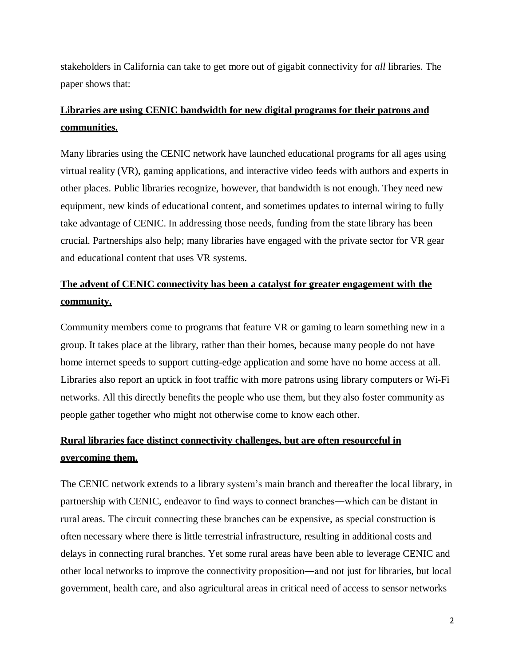stakeholders in California can take to get more out of gigabit connectivity for *all* libraries. The paper shows that:

## **Libraries are using CENIC bandwidth for new digital programs for their patrons and communities.**

Many libraries using the CENIC network have launched educational programs for all ages using virtual reality (VR), gaming applications, and interactive video feeds with authors and experts in other places. Public libraries recognize, however, that bandwidth is not enough. They need new equipment, new kinds of educational content, and sometimes updates to internal wiring to fully take advantage of CENIC. In addressing those needs, funding from the state library has been crucial. Partnerships also help; many libraries have engaged with the private sector for VR gear and educational content that uses VR systems.

## **The advent of CENIC connectivity has been a catalyst for greater engagement with the community.**

Community members come to programs that feature VR or gaming to learn something new in a group. It takes place at the library, rather than their homes, because many people do not have home internet speeds to support cutting-edge application and some have no home access at all. Libraries also report an uptick in foot traffic with more patrons using library computers or Wi-Fi networks. All this directly benefits the people who use them, but they also foster community as people gather together who might not otherwise come to know each other.

# **Rural libraries face distinct connectivity challenges, but are often resourceful in overcoming them.**

The CENIC network extends to a library system's main branch and thereafter the local library, in partnership with CENIC, endeavor to find ways to connect branches―which can be distant in rural areas. The circuit connecting these branches can be expensive, as special construction is often necessary where there is little terrestrial infrastructure, resulting in additional costs and delays in connecting rural branches. Yet some rural areas have been able to leverage CENIC and other local networks to improve the connectivity proposition―and not just for libraries, but local government, health care, and also agricultural areas in critical need of access to sensor networks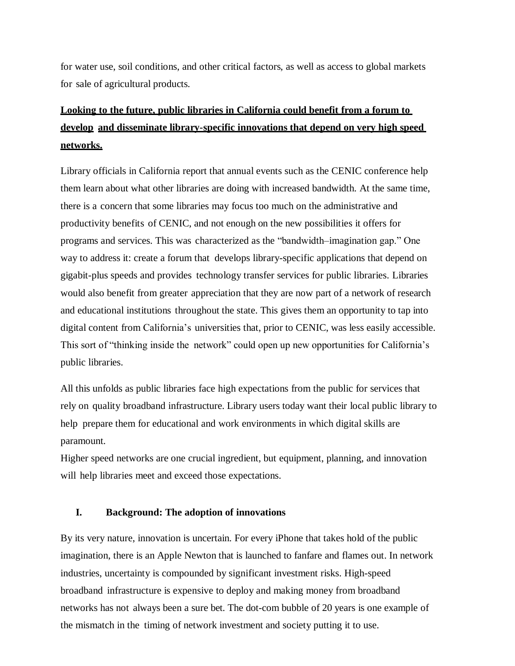for water use, soil conditions, and other critical factors, as well as access to global markets for sale of agricultural products.

# **Looking to the future, public libraries in California could benefit from a forum to develop and disseminate library-specific innovations that depend on very high speed networks.**

Library officials in California report that annual events such as the CENIC conference help them learn about what other libraries are doing with increased bandwidth. At the same time, there is a concern that some libraries may focus too much on the administrative and productivity benefits of CENIC, and not enough on the new possibilities it offers for programs and services. This was characterized as the "bandwidth–imagination gap." One way to address it: create a forum that develops library-specific applications that depend on gigabit-plus speeds and provides technology transfer services for public libraries. Libraries would also benefit from greater appreciation that they are now part of a network of research and educational institutions throughout the state. This gives them an opportunity to tap into digital content from California's universities that, prior to CENIC, was less easily accessible. This sort of "thinking inside the network" could open up new opportunities for California's public libraries.

All this unfolds as public libraries face high expectations from the public for services that rely on quality broadband infrastructure. Library users today want their local public library to help prepare them for educational and work environments in which digital skills are paramount.

Higher speed networks are one crucial ingredient, but equipment, planning, and innovation will help libraries meet and exceed those expectations.

### **I. Background: The adoption of innovations**

By its very nature, innovation is uncertain. For every iPhone that takes hold of the public imagination, there is an Apple Newton that is launched to fanfare and flames out. In network industries, uncertainty is compounded by significant investment risks. High-speed broadband infrastructure is expensive to deploy and making money from broadband networks has not always been a sure bet. The dot-com bubble of 20 years is one example of the mismatch in the timing of network investment and society putting it to use.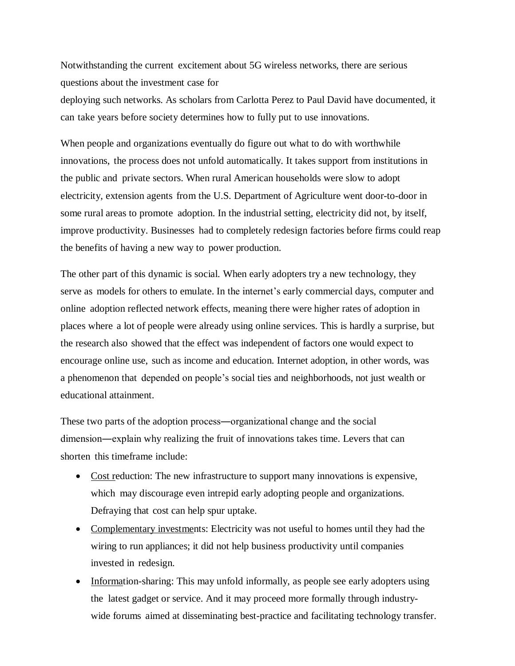Notwithstanding the current excitement about 5G wireless networks, there are serious questions about the investment case for deploying such networks. As scholars from Carlotta Perez to Paul David have documented, it can take years before society determines how to fully put to use innovations.

When people and organizations eventually do figure out what to do with worthwhile innovations, the process does not unfold automatically. It takes support from institutions in the public and private sectors. When rural American households were slow to adopt electricity, extension agents from the U.S. Department of Agriculture went door-to-door in some rural areas to promote adoption. In the industrial setting, electricity did not, by itself, improve productivity. Businesses had to completely redesign factories before firms could reap the benefits of having a new way to power production.

The other part of this dynamic is social. When early adopters try a new technology, they serve as models for others to emulate. In the internet's early commercial days, computer and online adoption reflected network effects, meaning there were higher rates of adoption in places where a lot of people were already using online services. This is hardly a surprise, but the research also showed that the effect was independent of factors one would expect to encourage online use, such as income and education. Internet adoption, in other words, was a phenomenon that depended on people's social ties and neighborhoods, not just wealth or educational attainment.

These two parts of the adoption process―organizational change and the social dimension―explain why realizing the fruit of innovations takes time. Levers that can shorten this timeframe include:

- Cost reduction: The new infrastructure to support many innovations is expensive, which may discourage even intrepid early adopting people and organizations. Defraying that cost can help spur uptake.
- Complementary investments: Electricity was not useful to homes until they had the wiring to run appliances; it did not help business productivity until companies invested in redesign.
- Information-sharing: This may unfold informally, as people see early adopters using the latest gadget or service. And it may proceed more formally through industrywide forums aimed at disseminating best-practice and facilitating technology transfer.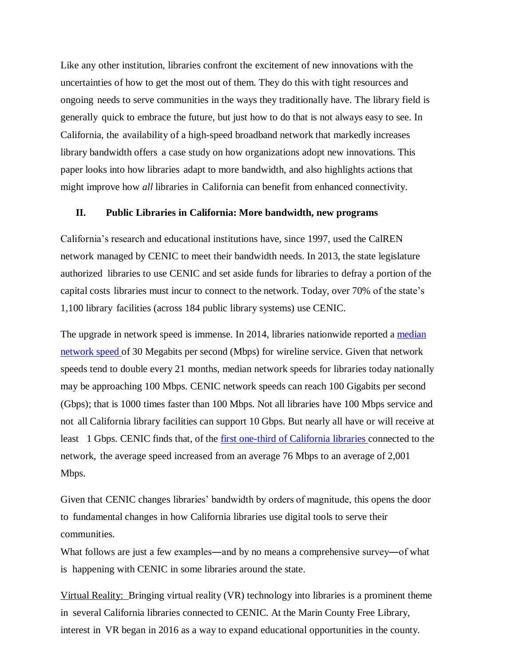Like any other institution, libraries confront the excitement of new innovations with the uncertainties of how to get the most out of them. They do this with tight resources and ongoing needs to serve communities in the ways they traditionally have. The library field is generally quick to embrace the future, but just how to do that is not always easy to see. In California, the availability of a high-speed broadband network that markedly increases library bandwidth offers a case study on how organizations adopt new innovations. This paper looks into how libraries adapt to more bandwidth, and also highlights actions that might improve how *all* libraries in California can benefit from enhanced connectivity.

### **II. Public Libraries in California: More bandwidth, new programs**

California's research and educational institutions have, since 1997, used the CalREN network managed by CENIC to meet their bandwidth needs. In 2013, the state legislature authorized libraries to use CENIC and set aside funds for libraries to defray a portion of the capital costs libraries must incur to connect to the network. Today, over 70% of the state's 1,100 library facilities (across 184 public library systems) use CENIC.

The upgrade in network speed is immense. In 2014, libraries nationwide reported a median network speed of 30 Megabits per second (Mbps) for wireline service. Given that network speeds tend to double every 21 months, median network speeds for libraries today nationally may be approaching 100 Mbps. CENIC network speeds can reach 100 Gigabits per second (Gbps); that is 1000 times faster than 100 Mbps. Not all libraries have 100 Mbps service and not all California library facilities can support 10 Gbps. But nearly all have or will receive at least 1 Gbps. CENIC finds that, of the first one-third of California libraries connected to the network, the average speed increased from an average 76 Mbps to an average of 2,001 Mbps.

Given that CENIC changes libraries' bandwidth by orders of magnitude, this opens the door to fundamental changes in how California libraries use digital tools to serve their communities.

What follows are just a few examples—and by no means a comprehensive survey—of what is happening with CENIC in some libraries around the state.

Virtual Reality: Bringing virtual reality (VR) technology into libraries is a prominent theme in several California libraries connected to CENIC. At the Marin County Free Library, interest in VR began in 2016 as a way to expand educational opportunities in the county.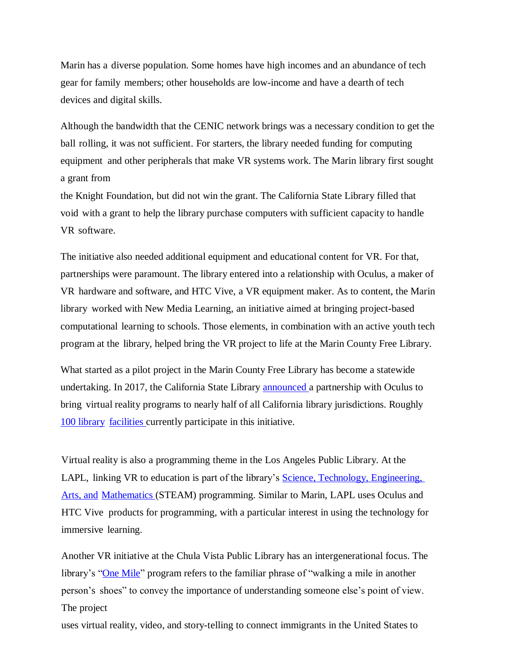Marin has a diverse population. Some homes have high incomes and an abundance of tech gear for family members; other households are low-income and have a dearth of tech devices and digital skills.

Although the bandwidth that the CENIC network brings was a necessary condition to get the ball rolling, it was not sufficient. For starters, the library needed funding for computing equipment and other peripherals that make VR systems work. The Marin library first sought a grant from

the Knight Foundation, but did not win the grant. The California State Library filled that void with a grant to help the library purchase computers with sufficient capacity to handle VR software.

The initiative also needed additional equipment and educational content for VR. For that, partnerships were paramount. The library entered into a relationship with Oculus, a maker of VR hardware and software, and HTC Vive, a VR equipment maker. As to content, the Marin library worked with New Media Learning, an initiative aimed at bringing project-based computational learning to schools. Those elements, in combination with an active youth tech program at the library, helped bring the VR project to life at the Marin County Free Library.

What started as a pilot project in the Marin County Free Library has become a statewide undertaking. In 2017, the California State Library announced a partnership with Oculus to bring virtual reality programs to nearly half of all California library jurisdictions. Roughly 100 library facilities currently participate in this initiative.

Virtual reality is also a programming theme in the Los Angeles Public Library. At the LAPL, linking VR to education is part of the library's Science, Technology, Engineering, Arts, and Mathematics (STEAM) programming. Similar to Marin, LAPL uses Oculus and HTC Vive products for programming, with a particular interest in using the technology for immersive learning.

Another VR initiative at the Chula Vista Public Library has an intergenerational focus. The library's "One Mile" program refers to the familiar phrase of "walking a mile in another person's shoes" to convey the importance of understanding someone else's point of view. The project

uses virtual reality, video, and story-telling to connect immigrants in the United States to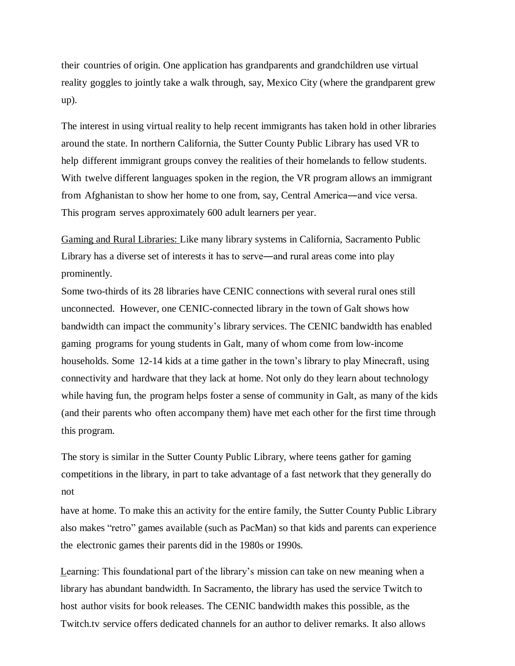their countries of origin. One application has grandparents and grandchildren use virtual reality goggles to jointly take a walk through, say, Mexico City (where the grandparent grew up).

The interest in using virtual reality to help recent immigrants has taken hold in other libraries around the state. In northern California, the Sutter County Public Library has used VR to help different immigrant groups convey the realities of their homelands to fellow students. With twelve different languages spoken in the region, the VR program allows an immigrant from Afghanistan to show her home to one from, say, Central America―and vice versa. This program serves approximately 600 adult learners per year.

Gaming and Rural Libraries: Like many library systems in California, Sacramento Public Library has a diverse set of interests it has to serve―and rural areas come into play prominently.

Some two-thirds of its 28 libraries have CENIC connections with several rural ones still unconnected. However, one CENIC-connected library in the town of Galt shows how bandwidth can impact the community's library services. The CENIC bandwidth has enabled gaming programs for young students in Galt, many of whom come from low-income households. Some 12-14 kids at a time gather in the town's library to play Minecraft, using connectivity and hardware that they lack at home. Not only do they learn about technology while having fun, the program helps foster a sense of community in Galt, as many of the kids (and their parents who often accompany them) have met each other for the first time through this program.

The story is similar in the Sutter County Public Library, where teens gather for gaming competitions in the library, in part to take advantage of a fast network that they generally do not

have at home. To make this an activity for the entire family, the Sutter County Public Library also makes "retro" games available (such as PacMan) so that kids and parents can experience the electronic games their parents did in the 1980s or 1990s.

Learning: This foundational part of the library's mission can take on new meaning when a library has abundant bandwidth. In Sacramento, the library has used the service Twitch to host author visits for book releases. The CENIC bandwidth makes this possible, as the Twitch.tv service offers dedicated channels for an author to deliver remarks. It also allows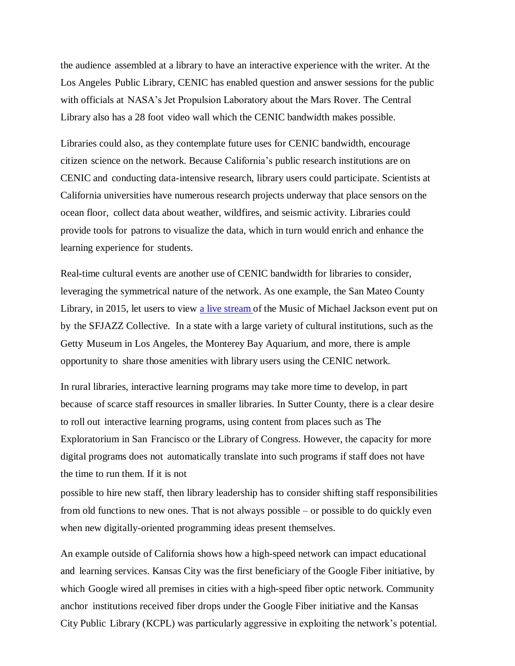the audience assembled at a library to have an interactive experience with the writer. At the Los Angeles Public Library, CENIC has enabled question and answer sessions for the public with officials at NASA's Jet Propulsion Laboratory about the Mars Rover. The Central Library also has a 28 foot video wall which the CENIC bandwidth makes possible.

Libraries could also, as they contemplate future uses for CENIC bandwidth, encourage citizen science on the network. Because California's public research institutions are on CENIC and conducting data-intensive research, library users could participate. Scientists at California universities have numerous research projects underway that place sensors on the ocean floor, collect data about weather, wildfires, and seismic activity. Libraries could provide tools for patrons to visualize the data, which in turn would enrich and enhance the learning experience for students.

Real-time cultural events are another use of CENIC bandwidth for libraries to consider, leveraging the symmetrical nature of the network. As one example, the San Mateo County Library, in 2015, let users to view a live stream of the Music of Michael Jackson event put on by the SFJAZZ Collective. In a state with a large variety of cultural institutions, such as the Getty Museum in Los Angeles, the Monterey Bay Aquarium, and more, there is ample opportunity to share those amenities with library users using the CENIC network.

In rural libraries, interactive learning programs may take more time to develop, in part because of scarce staff resources in smaller libraries. In Sutter County, there is a clear desire to roll out interactive learning programs, using content from places such as The Exploratorium in San Francisco or the Library of Congress. However, the capacity for more digital programs does not automatically translate into such programs if staff does not have the time to run them. If it is not

possible to hire new staff, then library leadership has to consider shifting staff responsibilities from old functions to new ones. That is not always possible – or possible to do quickly even when new digitally-oriented programming ideas present themselves.

An example outside of California shows how a high-speed network can impact educational and learning services. Kansas City was the first beneficiary of the Google Fiber initiative, by which Google wired all premises in cities with a high-speed fiber optic network. Community anchor institutions received fiber drops under the Google Fiber initiative and the Kansas City Public Library (KCPL) was particularly aggressive in exploiting the network's potential.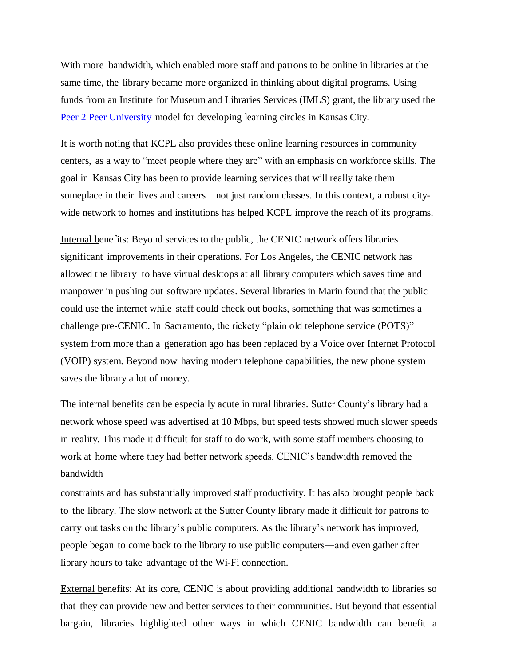With more bandwidth, which enabled more staff and patrons to be online in libraries at the same time, the library became more organized in thinking about digital programs. Using funds from an Institute for Museum and Libraries Services (IMLS) grant, the library used the Peer 2 Peer University model for developing learning circles in Kansas City.

It is worth noting that KCPL also provides these online learning resources in community centers, as a way to "meet people where they are" with an emphasis on workforce skills. The goal in Kansas City has been to provide learning services that will really take them someplace in their lives and careers – not just random classes. In this context, a robust citywide network to homes and institutions has helped KCPL improve the reach of its programs.

Internal benefits: Beyond services to the public, the CENIC network offers libraries significant improvements in their operations. For Los Angeles, the CENIC network has allowed the library to have virtual desktops at all library computers which saves time and manpower in pushing out software updates. Several libraries in Marin found that the public could use the internet while staff could check out books, something that was sometimes a challenge pre-CENIC. In Sacramento, the rickety "plain old telephone service (POTS)" system from more than a generation ago has been replaced by a Voice over Internet Protocol (VOIP) system. Beyond now having modern telephone capabilities, the new phone system saves the library a lot of money.

The internal benefits can be especially acute in rural libraries. Sutter County's library had a network whose speed was advertised at 10 Mbps, but speed tests showed much slower speeds in reality. This made it difficult for staff to do work, with some staff members choosing to work at home where they had better network speeds. CENIC's bandwidth removed the bandwidth

constraints and has substantially improved staff productivity. It has also brought people back to the library. The slow network at the Sutter County library made it difficult for patrons to carry out tasks on the library's public computers. As the library's network has improved, people began to come back to the library to use public computers―and even gather after library hours to take advantage of the Wi-Fi connection.

External benefits: At its core, CENIC is about providing additional bandwidth to libraries so that they can provide new and better services to their communities. But beyond that essential bargain, libraries highlighted other ways in which CENIC bandwidth can benefit a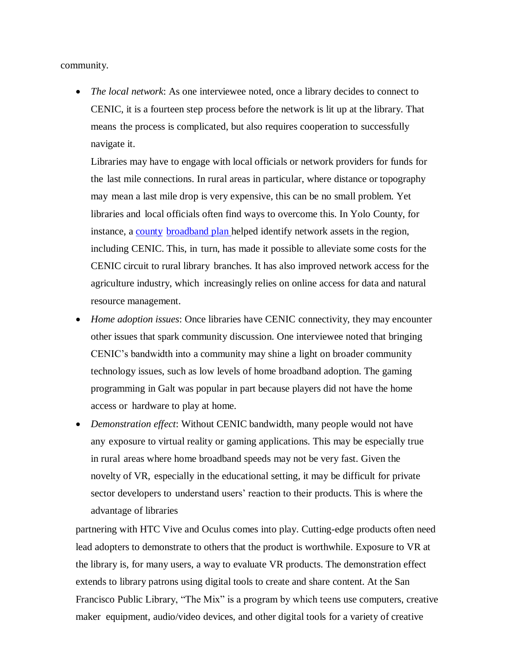community.

• *The local network*: As one interviewee noted, once a library decides to connect to CENIC, it is a fourteen step process before the network is lit up at the library. That means the process is complicated, but also requires cooperation to successfully navigate it.

Libraries may have to engage with local officials or network providers for funds for the last mile connections. In rural areas in particular, where distance or topography may mean a last mile drop is very expensive, this can be no small problem. Yet libraries and local officials often find ways to overcome this. In Yolo County, for instance, a county broadband plan helped identify network assets in the region, including CENIC. This, in turn, has made it possible to alleviate some costs for the CENIC circuit to rural library branches. It has also improved network access for the agriculture industry, which increasingly relies on online access for data and natural resource management.

- *Home adoption issues*: Once libraries have CENIC connectivity, they may encounter other issues that spark community discussion. One interviewee noted that bringing CENIC's bandwidth into a community may shine a light on broader community technology issues, such as low levels of home broadband adoption. The gaming programming in Galt was popular in part because players did not have the home access or hardware to play at home.
- *Demonstration effect*: Without CENIC bandwidth, many people would not have any exposure to virtual reality or gaming applications. This may be especially true in rural areas where home broadband speeds may not be very fast. Given the novelty of VR, especially in the educational setting, it may be difficult for private sector developers to understand users' reaction to their products. This is where the advantage of libraries

partnering with HTC Vive and Oculus comes into play. Cutting-edge products often need lead adopters to demonstrate to others that the product is worthwhile. Exposure to VR at the library is, for many users, a way to evaluate VR products. The demonstration effect extends to library patrons using digital tools to create and share content. At the San Francisco Public Library, "The Mix" is a program by which teens use computers, creative maker equipment, audio/video devices, and other digital tools for a variety of creative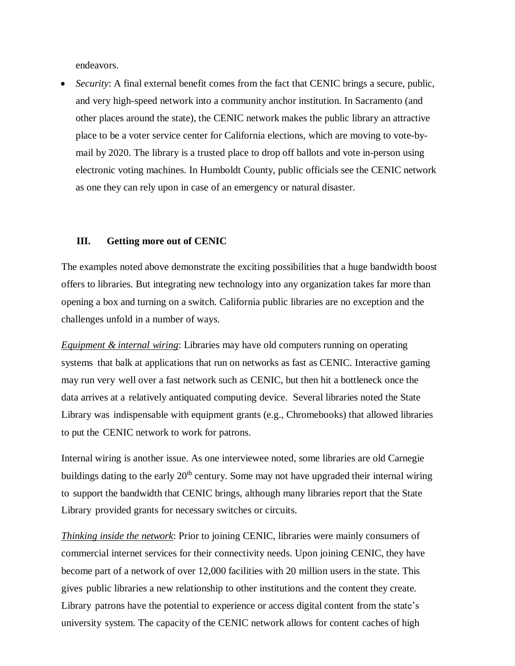endeavors.

• *Security*: A final external benefit comes from the fact that CENIC brings a secure, public, and very high-speed network into a community anchor institution. In Sacramento (and other places around the state), the CENIC network makes the public library an attractive place to be a voter service center for California elections, which are moving to vote-bymail by 2020. The library is a trusted place to drop off ballots and vote in-person using electronic voting machines. In Humboldt County, public officials see the CENIC network as one they can rely upon in case of an emergency or natural disaster.

### **III. Getting more out of CENIC**

The examples noted above demonstrate the exciting possibilities that a huge bandwidth boost offers to libraries. But integrating new technology into any organization takes far more than opening a box and turning on a switch. California public libraries are no exception and the challenges unfold in a number of ways.

*Equipment & internal wiring*: Libraries may have old computers running on operating systems that balk at applications that run on networks as fast as CENIC. Interactive gaming may run very well over a fast network such as CENIC, but then hit a bottleneck once the data arrives at a relatively antiquated computing device. Several libraries noted the State Library was indispensable with equipment grants (e.g., Chromebooks) that allowed libraries to put the CENIC network to work for patrons.

Internal wiring is another issue. As one interviewee noted, some libraries are old Carnegie buildings dating to the early  $20<sup>th</sup>$  century. Some may not have upgraded their internal wiring to support the bandwidth that CENIC brings, although many libraries report that the State Library provided grants for necessary switches or circuits.

*Thinking inside the network*: Prior to joining CENIC, libraries were mainly consumers of commercial internet services for their connectivity needs. Upon joining CENIC, they have become part of a network of over 12,000 facilities with 20 million users in the state. This gives public libraries a new relationship to other institutions and the content they create. Library patrons have the potential to experience or access digital content from the state's university system. The capacity of the CENIC network allows for content caches of high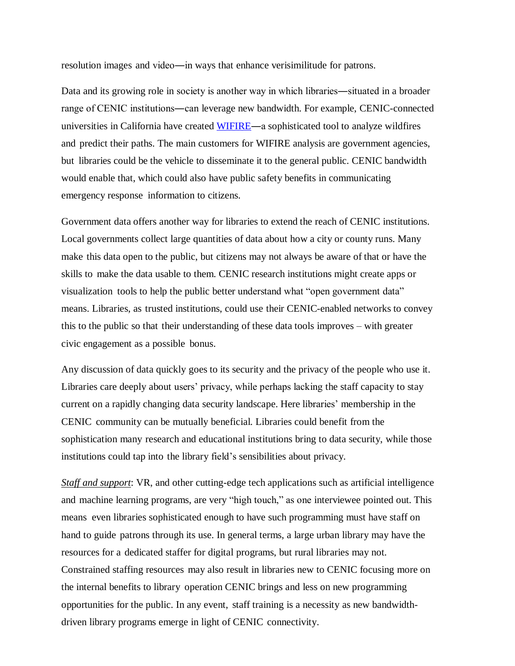resolution images and video―in ways that enhance verisimilitude for patrons.

Data and its growing role in society is another way in which libraries—situated in a broader range of CENIC institutions―can leverage new bandwidth. For example, CENIC-connected universities in California have created WIFIRE―a sophisticated tool to analyze wildfires and predict their paths. The main customers for WIFIRE analysis are government agencies, but libraries could be the vehicle to disseminate it to the general public. CENIC bandwidth would enable that, which could also have public safety benefits in communicating emergency response information to citizens.

Government data offers another way for libraries to extend the reach of CENIC institutions. Local governments collect large quantities of data about how a city or county runs. Many make this data open to the public, but citizens may not always be aware of that or have the skills to make the data usable to them. CENIC research institutions might create apps or visualization tools to help the public better understand what "open government data" means. Libraries, as trusted institutions, could use their CENIC-enabled networks to convey this to the public so that their understanding of these data tools improves – with greater civic engagement as a possible bonus.

Any discussion of data quickly goes to its security and the privacy of the people who use it. Libraries care deeply about users' privacy, while perhaps lacking the staff capacity to stay current on a rapidly changing data security landscape. Here libraries' membership in the CENIC community can be mutually beneficial. Libraries could benefit from the sophistication many research and educational institutions bring to data security, while those institutions could tap into the library field's sensibilities about privacy.

*Staff and support*: VR, and other cutting-edge tech applications such as artificial intelligence and machine learning programs, are very "high touch," as one interviewee pointed out. This means even libraries sophisticated enough to have such programming must have staff on hand to guide patrons through its use. In general terms, a large urban library may have the resources for a dedicated staffer for digital programs, but rural libraries may not. Constrained staffing resources may also result in libraries new to CENIC focusing more on the internal benefits to library operation CENIC brings and less on new programming opportunities for the public. In any event, staff training is a necessity as new bandwidthdriven library programs emerge in light of CENIC connectivity.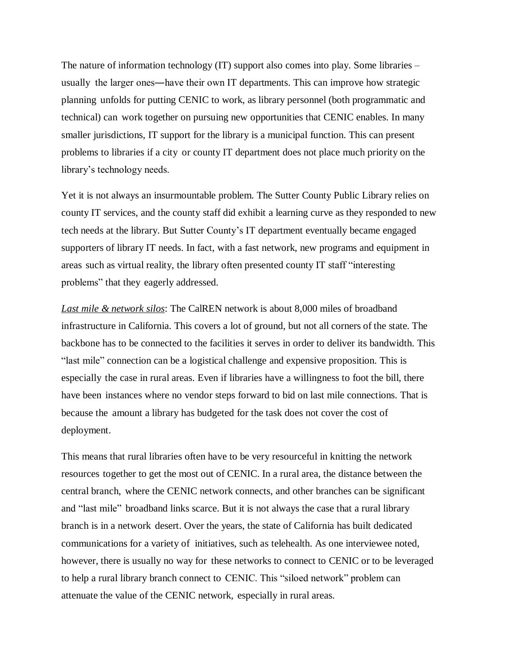The nature of information technology (IT) support also comes into play. Some libraries – usually the larger ones―have their own IT departments. This can improve how strategic planning unfolds for putting CENIC to work, as library personnel (both programmatic and technical) can work together on pursuing new opportunities that CENIC enables. In many smaller jurisdictions, IT support for the library is a municipal function. This can present problems to libraries if a city or county IT department does not place much priority on the library's technology needs.

Yet it is not always an insurmountable problem. The Sutter County Public Library relies on county IT services, and the county staff did exhibit a learning curve as they responded to new tech needs at the library. But Sutter County's IT department eventually became engaged supporters of library IT needs. In fact, with a fast network, new programs and equipment in areas such as virtual reality, the library often presented county IT staff "interesting problems" that they eagerly addressed.

*Last mile & network silos*: The CalREN network is about 8,000 miles of broadband infrastructure in California. This covers a lot of ground, but not all corners of the state. The backbone has to be connected to the facilities it serves in order to deliver its bandwidth. This "last mile" connection can be a logistical challenge and expensive proposition. This is especially the case in rural areas. Even if libraries have a willingness to foot the bill, there have been instances where no vendor steps forward to bid on last mile connections. That is because the amount a library has budgeted for the task does not cover the cost of deployment.

This means that rural libraries often have to be very resourceful in knitting the network resources together to get the most out of CENIC. In a rural area, the distance between the central branch, where the CENIC network connects, and other branches can be significant and "last mile" broadband links scarce. But it is not always the case that a rural library branch is in a network desert. Over the years, the state of California has built dedicated communications for a variety of initiatives, such as telehealth. As one interviewee noted, however, there is usually no way for these networks to connect to CENIC or to be leveraged to help a rural library branch connect to CENIC. This "siloed network" problem can attenuate the value of the CENIC network, especially in rural areas.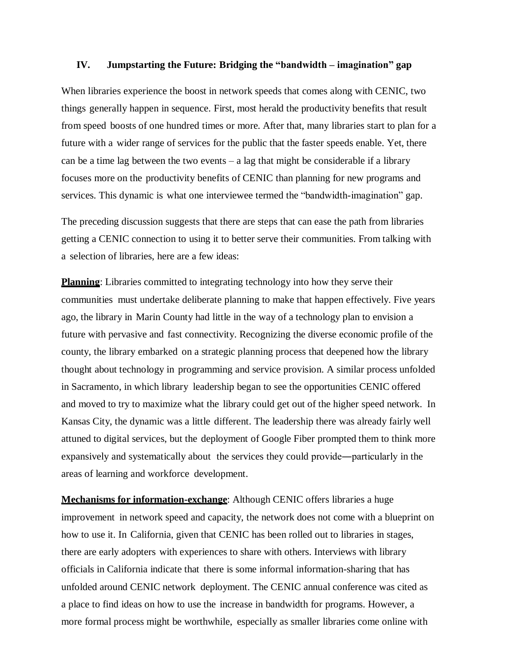#### **IV. Jumpstarting the Future: Bridging the "bandwidth – imagination" gap**

When libraries experience the boost in network speeds that comes along with CENIC, two things generally happen in sequence. First, most herald the productivity benefits that result from speed boosts of one hundred times or more. After that, many libraries start to plan for a future with a wider range of services for the public that the faster speeds enable. Yet, there can be a time lag between the two events  $-$  a lag that might be considerable if a library focuses more on the productivity benefits of CENIC than planning for new programs and services. This dynamic is what one interviewee termed the "bandwidth-imagination" gap.

The preceding discussion suggests that there are steps that can ease the path from libraries getting a CENIC connection to using it to better serve their communities. From talking with a selection of libraries, here are a few ideas:

**Planning**: Libraries committed to integrating technology into how they serve their communities must undertake deliberate planning to make that happen effectively. Five years ago, the library in Marin County had little in the way of a technology plan to envision a future with pervasive and fast connectivity. Recognizing the diverse economic profile of the county, the library embarked on a strategic planning process that deepened how the library thought about technology in programming and service provision. A similar process unfolded in Sacramento, in which library leadership began to see the opportunities CENIC offered and moved to try to maximize what the library could get out of the higher speed network. In Kansas City, the dynamic was a little different. The leadership there was already fairly well attuned to digital services, but the deployment of Google Fiber prompted them to think more expansively and systematically about the services they could provide―particularly in the areas of learning and workforce development.

**Mechanisms for information-exchange**: Although CENIC offers libraries a huge improvement in network speed and capacity, the network does not come with a blueprint on how to use it. In California, given that CENIC has been rolled out to libraries in stages, there are early adopters with experiences to share with others. Interviews with library officials in California indicate that there is some informal information-sharing that has unfolded around CENIC network deployment. The CENIC annual conference was cited as a place to find ideas on how to use the increase in bandwidth for programs. However, a more formal process might be worthwhile, especially as smaller libraries come online with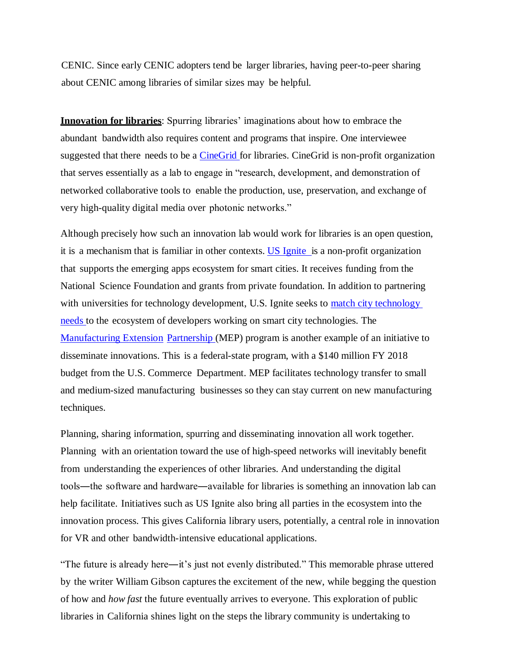CENIC. Since early CENIC adopters tend be larger libraries, having peer-to-peer sharing about CENIC among libraries of similar sizes may be helpful.

**Innovation for libraries**: Spurring libraries' imaginations about how to embrace the abundant bandwidth also requires content and programs that inspire. One interviewee suggested that there needs to be a CineGrid for libraries. CineGrid is non-profit organization that serves essentially as a lab to engage in "research, development, and demonstration of networked collaborative tools to enable the production, use, preservation, and exchange of very high-quality digital media over photonic networks."

Although precisely how such an innovation lab would work for libraries is an open question, it is a mechanism that is familiar in other contexts. US Ignite is a non-profit organization that supports the emerging apps ecosystem for smart cities. It receives funding from the National Science Foundation and grants from private foundation. In addition to partnering with universities for technology development, U.S. Ignite seeks to match city technology needs to the ecosystem of developers working on smart city technologies. The Manufacturing Extension Partnership (MEP) program is another example of an initiative to disseminate innovations. This is a federal-state program, with a \$140 million FY 2018 budget from the U.S. Commerce Department. MEP facilitates technology transfer to small and medium-sized manufacturing businesses so they can stay current on new manufacturing techniques.

Planning, sharing information, spurring and disseminating innovation all work together. Planning with an orientation toward the use of high-speed networks will inevitably benefit from understanding the experiences of other libraries. And understanding the digital tools―the software and hardware―available for libraries is something an innovation lab can help facilitate. Initiatives such as US Ignite also bring all parties in the ecosystem into the innovation process. This gives California library users, potentially, a central role in innovation for VR and other bandwidth-intensive educational applications.

"The future is already here―it's just not evenly distributed." This memorable phrase uttered by the writer William Gibson captures the excitement of the new, while begging the question of how and *how fast* the future eventually arrives to everyone. This exploration of public libraries in California shines light on the steps the library community is undertaking to